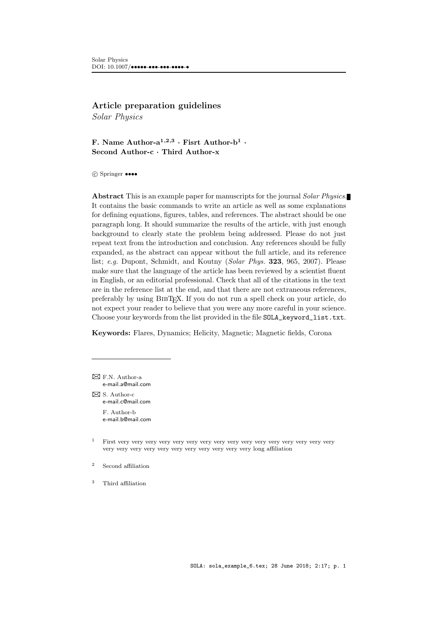# Article preparation guidelines

Solar Physics

F. Name Author- $a^{1,2,3}$  · Fisrt Author- $b^1$  · Second Author-c · Third Author-x

c Springer ••••

Abstract This is an example paper for manuscripts for the journal Solar Physics. It contains the basic commands to write an article as well as some explanations for defining equations, figures, tables, and references. The abstract should be one paragraph long. It should summarize the results of the article, with just enough background to clearly state the problem being addressed. Please do not just repeat text from the introduction and conclusion. Any references should be fully expanded, as the abstract can appear without the full article, and its reference list; e.g. [Dupont, Schmidt, and Koutny](#page-10-0) (Solar Phys. 323, 965, [2007\)](#page-10-0). Please make sure that the language of the article has been reviewed by a scientist fluent in English, or an editorial professional. Check that all of the citations in the text are in the reference list at the end, and that there are not extraneous references, preferably by using BIBT<sub>EX</sub>. If you do not run a spell check on your article, do not expect your reader to believe that you were any more careful in your science. Choose your keywords from the list provided in the file SOLA\_keyword\_list.txt.

Keywords: Flares, Dynamics; Helicity, Magnetic; Magnetic fields, Corona

 $\boxtimes$  F.N. Author-a [e-mail.a@mail.com](mailto:e-mail.a@mail.com)

 $\boxtimes$  S. Author-c [e-mail.c@mail.com](mailto:e-mail.c@mail.com) F. Author-b [e-mail.b@mail.com](mailto:e-mail.b@mail.com)

- <sup>1</sup> First very very very very very very very very very very very very very very very very very very very very very very very very very very very long affiliation
- <sup>2</sup> Second affiliation
- <sup>3</sup> Third affiliation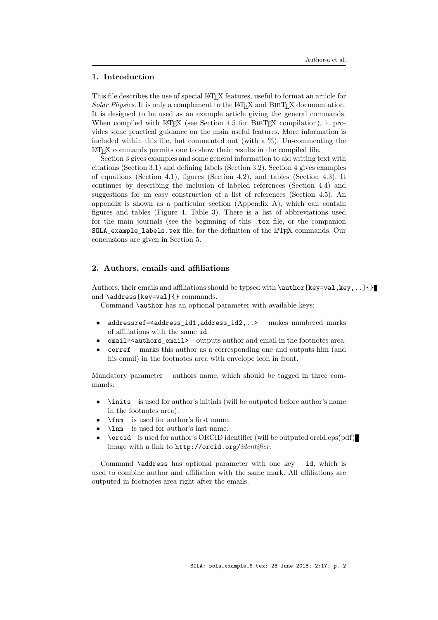# 1. Introduction

This file describes the use of special LATEX features, useful to format an article for  $Solar Physics. It is only a complement to the LAT, and BIBTrX documentation.$ It is designed to be used as an example article giving the general commands. When compiled with  $\Delta F_{\rm F}X$  (see Section [4.5](#page-7-0) for BIBT<sub>EX</sub> compilation), it provides some practical guidance on the main useful features. More information is included within this file, but commented out (with a  $\%$ ). Un-commenting the LATEX commands permits one to show their results in the compiled file.

Section [3](#page-2-0) gives examples and some general information to aid writing text with citations (Section [3.1\)](#page-2-1) and defining labels (Section [3.2\)](#page-2-2). Section [4](#page-3-0) gives examples of equations (Section [4.1\)](#page-3-1), figures (Section [4.2\)](#page-4-0), and tables (Section [4.3\)](#page-7-1). It continues by describing the inclusion of labeled references (Section [4.4\)](#page-7-2) and suggestions for an easy construction of a list of references (Section [4.5\)](#page-7-0). An appendix is shown as a particular section (Appendix [A\)](#page-9-0), which can contain figures and tables (Figure [4,](#page-9-1) Table [3\)](#page-9-2). There is a list of abbreviations used for the main journals (see the beginning of this .tex file, or the companion SOLA\_example\_labels.tex file, for the definition of the L<sup>AT</sup>FX commands. Our conclusions are given in Section [5.](#page-8-0)

# 2. Authors, emails and affiliations

Authors, their emails and affiliations should be typsed with  $\author[key=val,key,...]$ and \address[key=val]{} commands.

Command **\author** has an optional parameter with available keys:

- addressref=<address\_id1,address\_id2,..> makes numbered marks of affiliations with the same id.
- email=<authors\_email> outputs author and email in the footnotes area.
- corref marks this author as a corresponding one and outputs him (and his email) in the footnotes area with envelope icon in front.

Mandatory parameter – authors name, which should be tagged in three commands:

- \inits is used for author's initials (will be outputed before author's name in the footnotes area).
- \fnm is used for author's first name.
- \lnm is used for author's last name.
- \orcid is used for author's ORCID identifier (will be outputed orcid.eps(pdf) image with a link to http://orcid.org/identifier.

Command **\address** has optional parameter with one key – id, which is used to combine author and affiliation with the same mark. All affiliations are outputed in footnotes area right after the emails.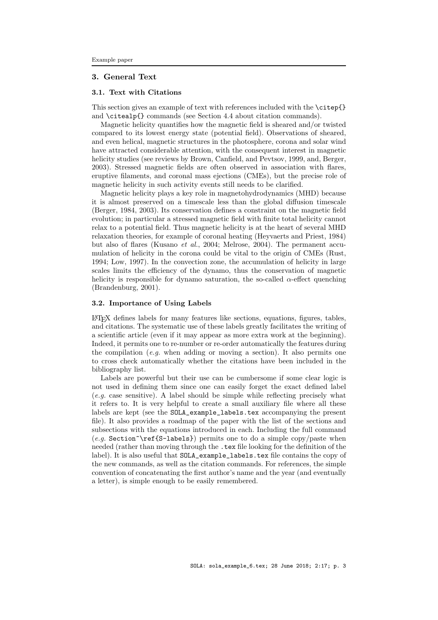# <span id="page-2-0"></span>3. General Text

## <span id="page-2-1"></span>3.1. Text with Citations

This section gives an example of text with references included with the \citep{} and \citealp{} commands (see Section [4.4](#page-7-2) about citation commands).

Magnetic helicity quantifies how the magnetic field is sheared and/or twisted compared to its lowest energy state (potential field). Observations of sheared, and even helical, magnetic structures in the photosphere, corona and solar wind have attracted considerable attention, with the consequent interest in magnetic helicity studies (see reviews by Brown, Canfield, and Pevtsov, [1999,](#page-10-1) and, Berger, [2003\)](#page-10-2). Stressed magnetic fields are often observed in association with flares, eruptive filaments, and coronal mass ejections (CMEs), but the precise role of magnetic helicity in such activity events still needs to be clarified.

Magnetic helicity plays a key role in magnetohydrodynamics (MHD) because it is almost preserved on a timescale less than the global diffusion timescale (Berger, [1984,](#page-9-3) [2003\)](#page-10-2). Its conservation defines a constraint on the magnetic field evolution; in particular a stressed magnetic field with finite total helicity cannot relax to a potential field. Thus magnetic helicity is at the heart of several MHD relaxation theories, for example of coronal heating (Heyvaerts and Priest, [1984\)](#page-10-3) but also of flares (Kusano et al., [2004;](#page-10-4) Melrose, [2004\)](#page-10-5). The permanent accumulation of helicity in the corona could be vital to the origin of CMEs (Rust, [1994;](#page-10-6) Low, [1997\)](#page-10-7). In the convection zone, the accumulation of helicity in large scales limits the efficiency of the dynamo, thus the conservation of magnetic helicity is responsible for dynamo saturation, the so-called  $\alpha$ -effect quenching (Brandenburg, [2001\)](#page-10-8).

#### <span id="page-2-2"></span>3.2. Importance of Using Labels

LATEX defines labels for many features like sections, equations, figures, tables, and citations. The systematic use of these labels greatly facilitates the writing of a scientific article (even if it may appear as more extra work at the beginning). Indeed, it permits one to re-number or re-order automatically the features during the compilation (e.g. when adding or moving a section). It also permits one to cross check automatically whether the citations have been included in the bibliography list.

Labels are powerful but their use can be cumbersome if some clear logic is not used in defining them since one can easily forget the exact defined label (e.g. case sensitive). A label should be simple while reflecting precisely what it refers to. It is very helpful to create a small auxiliary file where all these labels are kept (see the SOLA\_example\_labels.tex accompanying the present file). It also provides a roadmap of the paper with the list of the sections and subsections with the equations introduced in each. Including the full command  $(e.g. Section \texttt{\textless}\textless)$  permits one to do a simple copy/paste when needed (rather than moving through the .tex file looking for the definition of the label). It is also useful that SOLA\_example\_labels.tex file contains the copy of the new commands, as well as the citation commands. For references, the simple convention of concatenating the first author's name and the year (and eventually a letter), is simple enough to be easily remembered.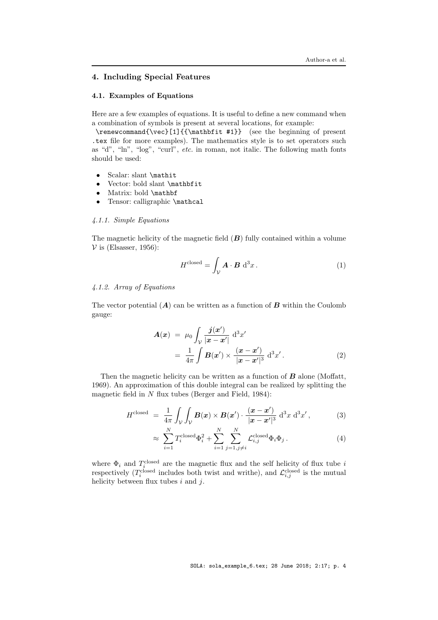# <span id="page-3-0"></span>4. Including Special Features

## <span id="page-3-1"></span>4.1. Examples of Equations

Here are a few examples of equations. It is useful to define a new command when a combination of symbols is present at several locations, for example:

\renewcommand{\vec}[1]{{\mathbfit #1}} (see the beginning of present .tex file for more examples). The mathematics style is to set operators such as "d", "ln", "log", "curl", etc. in roman, not italic. The following math fonts should be used:

- Scalar: slant \mathit
- Vector: bold slant \mathbfit
- Matrix: bold \mathbf
- Tensor: calligraphic \mathcal

## 4.1.1. Simple Equations

The magnetic helicity of the magnetic field  $(B)$  fully contained within a volume  $V$  is (Elsasser, [1956\)](#page-10-9):

$$
H^{\text{closed}} = \int_{\mathcal{V}} \mathbf{A} \cdot \mathbf{B} \, \mathrm{d}^3 x \,. \tag{1}
$$

#### 4.1.2. Array of Equations

The vector potential  $(A)$  can be written as a function of  $B$  within the Coulomb gauge:

$$
\mathbf{A}(\boldsymbol{x}) = \mu_0 \int_{\mathcal{V}} \frac{\boldsymbol{j}(\boldsymbol{x}')}{|\boldsymbol{x} - \boldsymbol{x}'|} \, \mathrm{d}^3 x' \n= \frac{1}{4\pi} \int \mathbf{B}(\boldsymbol{x}') \times \frac{(\boldsymbol{x} - \boldsymbol{x}')}{|\boldsymbol{x} - \boldsymbol{x}'|^3} \, \mathrm{d}^3 x' . \tag{2}
$$

Then the magnetic helicity can be written as a function of  $\boldsymbol{B}$  alone (Moffatt, [1969\)](#page-10-10). An approximation of this double integral can be realized by splitting the magnetic field in  $N$  flux tubes (Berger and Field, [1984\)](#page-10-11):

$$
H^{\text{closed}} = \frac{1}{4\pi} \int_{\mathcal{V}} \int_{\mathcal{V}} \boldsymbol{B}(\boldsymbol{x}) \times \boldsymbol{B}(\boldsymbol{x}') \cdot \frac{(\boldsymbol{x} - \boldsymbol{x}')}{|\boldsymbol{x} - \boldsymbol{x}'|^3} d^3 x d^3 x', \tag{3}
$$

$$
\approx \sum_{i=1}^{N} T_i^{\text{closed}} \Phi_i^2 + \sum_{i=1}^{N} \sum_{j=1, j \neq i}^{N} \mathcal{L}_{i,j}^{\text{closed}} \Phi_i \Phi_j.
$$
 (4)

where  $\Phi_i$  and  $T_i^{\text{closed}}$  are the magnetic flux and the self helicity of flux tube i respectively ( $T_i^{\text{closed}}$  includes both twist and writhe), and  $\mathcal{L}_{i,j}^{\text{closed}}$  is the mutual helicity between flux tubes  $i$  and  $j$ .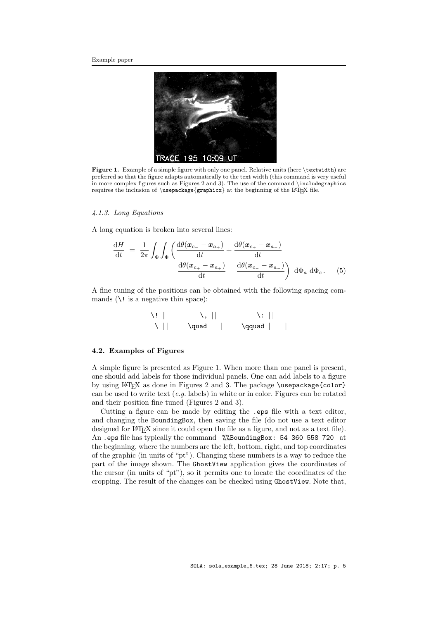

Figure 1. Example of a simple figure with only one panel. Relative units (here \textwidth) are preferred so that the figure adapts automatically to the text width (this command is very useful in more complex figures such as Figures [2](#page-5-0) and [3\)](#page-5-1). The use of the command \includegraphics requires the inclusion of  $\usepackage{graphicx}$  at the beginning of the LATEX file.

#### <span id="page-4-1"></span>4.1.3. Long Equations

A long equation is broken into several lines:

$$
\frac{dH}{dt} = \frac{1}{2\pi} \int_{\Phi} \int_{\Phi} \left( \frac{d\theta(\boldsymbol{x}_{c-} - \boldsymbol{x}_{a+})}{dt} + \frac{d\theta(\boldsymbol{x}_{c+} - \boldsymbol{x}_{a-})}{dt} - \frac{d\theta(\boldsymbol{x}_{c+} - \boldsymbol{x}_{a+})}{dt} - \frac{d\theta(\boldsymbol{x}_{c-} - \boldsymbol{x}_{a-})}{dt} \right) d\Phi_a d\Phi_c.
$$
 (5)

A fine tuning of the positions can be obtained with the following spacing commands  $(\iota)$ ! is a negative thin space):

| $\lambda!$ |   | $\setminus,   $   | $\lambda$ : |
|------------|---|-------------------|-------------|
|            | \ | $\qquad \qquad  $ | \qquad      |

#### <span id="page-4-0"></span>4.2. Examples of Figures

A simple figure is presented as Figure [1.](#page-4-1) When more than one panel is present, one should add labels for those individual panels. One can add labels to a figure by using LAT<sub>F</sub>X as done in Figures [2](#page-5-0) and [3.](#page-5-1) The package \usepackage{color} can be used to write text  $(e.g.$  labels) in white or in color. Figures can be rotated and their position fine tuned (Figures [2](#page-5-0) and [3\)](#page-5-1).

Cutting a figure can be made by editing the .eps file with a text editor, and changing the BoundingBox, then saving the file (do not use a text editor designed for LAT<sub>E</sub>X since it could open the file as a figure, and not as a text file). An .eps file has typically the command %%BoundingBox: 54 360 558 720 at the beginning, where the numbers are the left, bottom, right, and top coordinates of the graphic (in units of "pt"). Changing these numbers is a way to reduce the part of the image shown. The GhostView application gives the coordinates of the cursor (in units of "pt"), so it permits one to locate the coordinates of the cropping. The result of the changes can be checked using GhostView. Note that,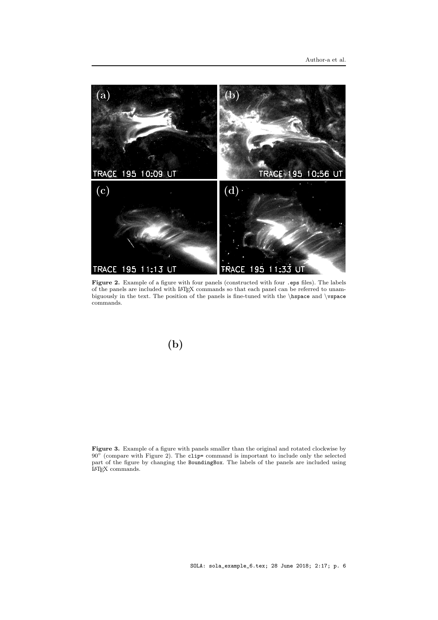

<span id="page-5-0"></span>Figure 2. Example of a figure with four panels (constructed with four .eps files). The labels of the panels are included with LATEX commands so that each panel can be referred to unambiguously in the text. The position of the panels is fine-tuned with the \hspace and \vspace commands.

# $(b)$

<span id="page-5-1"></span>Figure 3. Example of a figure with panels smaller than the original and rotated clockwise by 90° (compare with Figure [2\)](#page-5-0). The clip= command is important to include only the selected part of the figure by changing the BoundingBox. The labels of the panels are included using LATEX commands.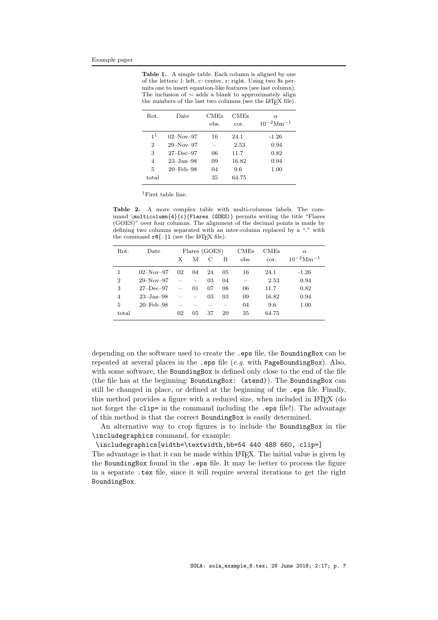<span id="page-6-0"></span>Table 1. A simple table. Each column is aligned by one of the letters: l: left, c: center, r: right. Using two \$s permits one to insert equation-like features (see last column). The inclusion of ∼ adds a blank to approximately align the numbers of the last two columns (see the LAT<sub>E</sub>X file).

| Rot.                             | Date                                      | <b>CMEs</b><br>obs. | <b>CMEs</b><br>cor. | $\alpha$<br>$10^{-2}$ Mm <sup>-1</sup> |
|----------------------------------|-------------------------------------------|---------------------|---------------------|----------------------------------------|
| 1 <sup>1</sup><br>$\overline{2}$ | $02-Nov-97$<br>$29-Nov-97$                | 16                  | 24.1<br>2.53        | $-1.26$<br>0.94                        |
| 3                                | $27 - Dec - 97$                           | 06                  | 11.7                | 0.82                                   |
| 4<br>5                           | $23 - Jan - 98$<br>$20 - \text{Feb} - 98$ | 09<br>04            | 16.82<br>9.6        | 0.94<br>1.00                           |
| total                            |                                           | 35                  | 64.75               |                                        |

<span id="page-6-1"></span><sup>1</sup>First table line.

Table 2. A more complex table with multi-columns labels. The command \multicolumn{4}{c}{Flares (GOES)} permits writing the title "Flares (GOES)" over four columns. The alignment of the decimal points is made by defining two columns separated with an inter-column replaced by a "." with the command  $r \mathbb{Q} \{.\}$  (see the LAT<sub>E</sub>X file).

| Rot.           | Date                   |                          |                          | Flares (GOES) |    | $_{\rm CMEs}$ | CMEs  | $\alpha$                   |
|----------------|------------------------|--------------------------|--------------------------|---------------|----|---------------|-------|----------------------------|
|                |                        | Х                        | М                        | C             | B  | obs.          | cor.  | $10^{-2}$ Mm <sup>-1</sup> |
|                | $02-Nov-97$            | 02                       | 04                       | 24            | 05 | 16            | 24.1  | $-1.26$                    |
| $\overline{2}$ | $29-Nov-97$            |                          | $\overline{\phantom{m}}$ | 03            | 04 |               | 2.53  | 0.94                       |
| 3              | $27 - Dec - 97$        | $\overline{\phantom{0}}$ | 01                       | 07            | 08 | 06            | 11.7  | 0.82                       |
| $\overline{4}$ | $23 - Jan - 98$        |                          | $\overline{\phantom{m}}$ | 03            | 03 | 09            | 16.82 | 0.94                       |
| 5              | $20 - \text{Feb} - 98$ |                          |                          |               |    | 04            | 9.6   | 1.00                       |
| total          |                        | 02                       | 05                       | 37            | 20 | 35            | 64.75 |                            |

depending on the software used to create the .eps file, the BoundingBox can be repeated at several places in the .eps file  $(e.g.$  with PageBoundingBox). Also, with some software, the BoundingBox is defined only close to the end of the file (the file has at the beginning: BoundingBox: (atend)). The BoundingBox can still be changed in place, or defined at the beginning of the .eps file. Finally, this method provides a figure with a reduced size, when included in LAT<sub>EX</sub> (do not forget the clip= in the command including the .eps file!). The advantage of this method is that the correct BoundingBox is easily determined.

An alternative way to crop figures is to include the BoundingBox in the \includegraphics command, for example:

\includegraphics[width=\textwidth,bb=54 440 488 660, clip=]

The advantage is that it can be made within LAT<sub>EX</sub>. The initial value is given by the BoundingBox found in the .eps file. It may be better to process the figure in a separate .tex file, since it will require several iterations to get the right BoundingBox.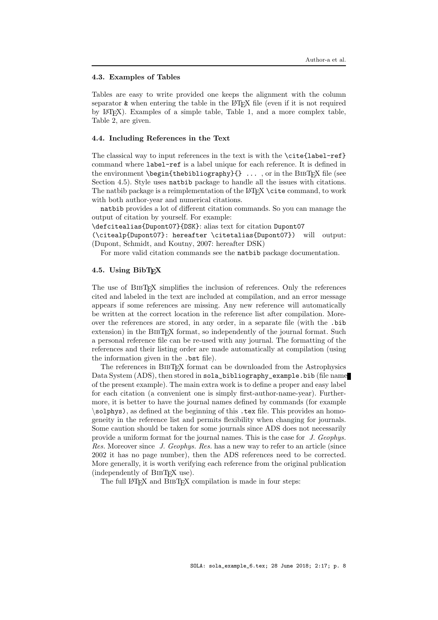#### <span id="page-7-1"></span>4.3. Examples of Tables

Tables are easy to write provided one keeps the alignment with the column separator  $\&$  when entering the table in the LAT<sub>EX</sub> file (even if it is not required by LATEX). Examples of a simple table, Table [1,](#page-6-0) and a more complex table, Table [2,](#page-6-1) are given.

## <span id="page-7-2"></span>4.4. Including References in the Text

The classical way to input references in the text is with the \cite{label-ref} command where label-ref is a label unique for each reference. It is defined in the environment  $\begin{pmatrix} \begin{array}{c} \begin{array}{c} \end{array} \\ \end{pmatrix}$  ..., or in the BIBTEX file (see Section [4.5\)](#page-7-0). Style uses natbib package to handle all the issues with citations. The natbib package is a reimplementation of the LAT<sub>EX</sub> \cite command, to work with both author-year and numerical citations.

natbib provides a lot of different citation commands. So you can manage the output of citation by yourself. For example:

\defcitealias{Dupont07}{DSK}: alias text for citation Dupont07

(\citealp{Dupont07}: hereafter \citetalias{Dupont07}) will output: (Dupont, Schmidt, and Koutny, [2007:](#page-10-0) hereafter [DSK\)](#page-10-0)

For more valid citation commands see the natbib package documentation.

# <span id="page-7-0"></span>4.5. Using BibTFX

The use of BIBTEX simplifies the inclusion of references. Only the references cited and labeled in the text are included at compilation, and an error message appears if some references are missing. Any new reference will automatically be written at the correct location in the reference list after compilation. Moreover the references are stored, in any order, in a separate file (with the .bib extension) in the BIBT<sub>EX</sub> format, so independently of the journal format. Such a personal reference file can be re-used with any journal. The formatting of the references and their listing order are made automatically at compilation (using the information given in the .bst file).

The references in BIBT<sub>EX</sub> format can be downloaded from the Astrophysics Data System (ADS), then stored in sola\_bibliography\_example.bib (file name of the present example). The main extra work is to define a proper and easy label for each citation (a convenient one is simply first-author-name-year). Furthermore, it is better to have the journal names defined by commands (for example \solphys), as defined at the beginning of this .tex file. This provides an homogeneity in the reference list and permits flexibility when changing for journals. Some caution should be taken for some journals since ADS does not necessarily provide a uniform format for the journal names. This is the case for J. Geophys. Res. Moreover since J. Geophys. Res. has a new way to refer to an article (since 2002 it has no page number), then the ADS references need to be corrected. More generally, it is worth verifying each reference from the original publication (independently of BIBT<sub>EX</sub> use).

The full LAT<sub>EX</sub> and BIBT<sub>EX</sub> compilation is made in four steps: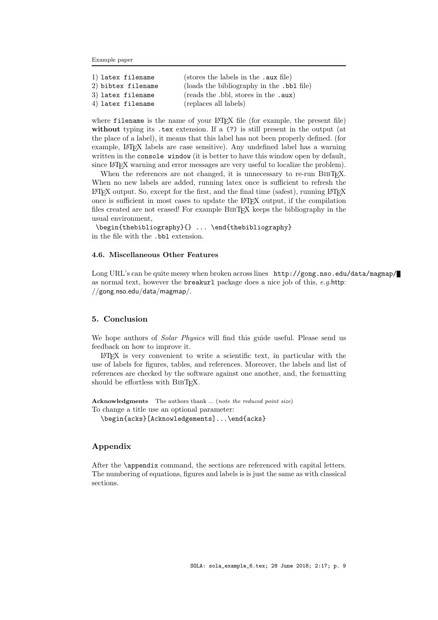Example paper

| (stores the labels in the .aux file)      |
|-------------------------------------------|
| (loads the bibliography in the .bb1 file) |
| (reads the .bbl, stores in the .aux)      |
| (replaces all labels)                     |
|                                           |

where filename is the name of your LAT<sub>E</sub>X file (for example, the present file) without typing its .tex extension. If a (?) is still present in the output (at the place of a label), it means that this label has not been properly defined. (for example, L<sup>AT</sup>EX labels are case sensitive). Any undefined label has a warning written in the console window (it is better to have this window open by default, since LAT<sub>EX</sub> warning and error messages are very useful to localize the problem).

When the references are not changed, it is unnecessary to re-run BIBT<sub>E</sub>X. When no new labels are added, running latex once is sufficient to refresh the  $\Delta F$ <sub>E</sub>X output. So, except for the first, and the final time (safest), running LAT<sub>E</sub>X once is sufficient in most cases to update the LAT<sub>EX</sub> output, if the compilation files created are not erased! For example BibTEX keeps the bibliography in the usual environment,

\begin{thebibliography}{} ... \end{thebibliography} in the file with the .bbl extension.

# 4.6. Miscellaneous Other Features

Long URL's can be quite messy when broken across lines http://gong.nso.edu/data/magmap/ as normal text, however the **breakurl** package does a nice job of this,  $e.g.$  [http:](http://gong.nso.edu/data/magmap/) [//gong.nso.edu/data/magmap/](http://gong.nso.edu/data/magmap/).

# <span id="page-8-0"></span>5. Conclusion

We hope authors of *Solar Physics* will find this guide useful. Please send us feedback on how to improve it.

 $\Delta E$ <sub>TEX</sub> is very convenient to write a scientific text, in particular with the use of labels for figures, tables, and references. Moreover, the labels and list of references are checked by the software against one another, and, the formatting should be effortless with BIBTEX.

Acknowledgments The authors thank ... (note the reduced point size) To change a title use an optional parameter:

\begin{acks}[Acknowledgements]...\end{acks}

# Appendix

After the \appendix command, the sections are referenced with capital letters. The numbering of equations, figures and labels is is just the same as with classical sections.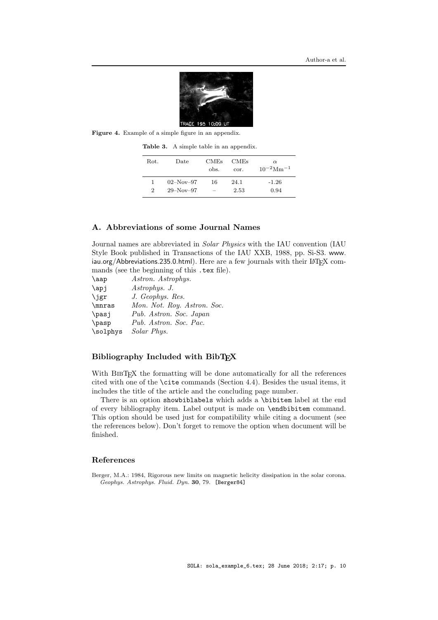

Figure 4. Example of a simple figure in an appendix.

<span id="page-9-2"></span><span id="page-9-1"></span>Table 3. A simple table in an appendix.

| Rot.           | Date        | <b>CMEs</b><br>obs.      | <b>CMEs</b><br>cor. | $\alpha$<br>$10^{-2}$ Mm <sup>-1</sup> |
|----------------|-------------|--------------------------|---------------------|----------------------------------------|
| 1.             | $02-Nov-97$ | 16                       | 24.1                | $-1.26$                                |
| $\overline{2}$ | $29-Nov-97$ | $\overline{\phantom{0}}$ | 2.53                | 0.94                                   |

# <span id="page-9-0"></span>A. Abbreviations of some Journal Names

Journal names are abbreviated in Solar Physics with the IAU convention (IAU Style Book published in Transactions of the IAU XXB, 1988, pp. Si-S3. [www.](www.iau.org/Abbreviations.235.0.html) [iau.org/Abbreviations.235.0.html](www.iau.org/Abbreviations.235.0.html)). Here are a few journals with their L<sup>AT</sup>EX commands (see the beginning of this .tex file).

| \aap     | Astron. Astrophys.          |
|----------|-----------------------------|
| \apj     | Astrophys. J.               |
| \jgr     | J. Geophys. Res.            |
| \mnras   | Mon. Not. Roy. Astron. Soc. |
| \pasi    | Pub. Astron. Soc. Japan     |
| \pasp    | Pub. Astron. Soc. Pac.      |
| \solphys | Solar Phys.                 |

## Bibliography Included with BibTEX

With BIBT<sub>EX</sub> the formatting will be done automatically for all the references cited with one of the \cite commands (Section [4.4\)](#page-7-2). Besides the usual items, it includes the title of the article and the concluding page number.

There is an option showbiblabels which adds a \bibitem label at the end of every bibliography item. Label output is made on \endbibitem command. This option should be used just for compatibility while citing a document (see the references below). Don't forget to remove the option when document will be finished.

#### References

<span id="page-9-3"></span>Berger, M.A.: 1984, Rigorous new limits on magnetic helicity dissipation in the solar corona. Geophys. Astrophys. Fluid. Dyn. 30, 79. [Berger84]